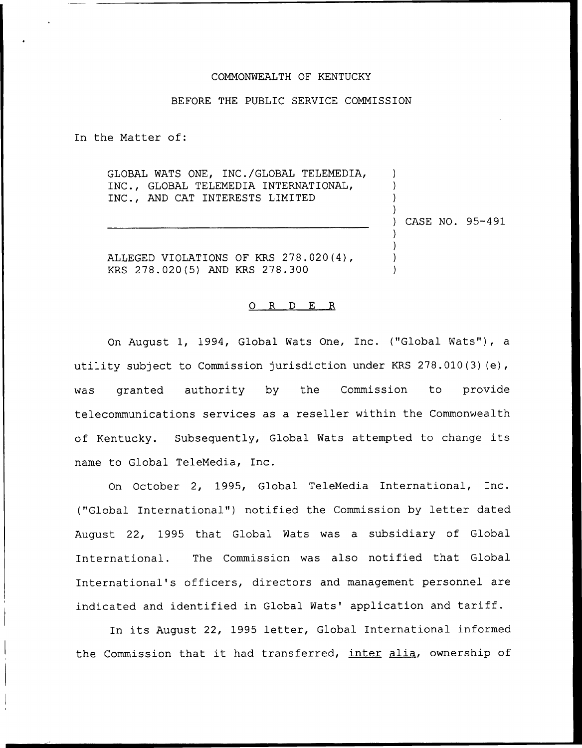## COMMONWEALTH OF KENTUCKY

## BEFORE THE PUBLIC SERVICE COMMISSION

In the Matter of:

GLOBAL WATS ONE, INC./GLOBAL TELEMEDIA, INC., GLOBAL TELEMEDIA INTERNATIONAL, INC., AND CAT INTERESTS LIMITED

) CASE NO. 95-491

) ) ) )

) ) ) )

ALLEGED VIOLATIONS OF KRS 278.020 (4), KRS 278.020(5) AND KRS 278.300

## 0 R <sup>D</sup> E R

On August 1, 1994, Global Wats One, Inc. ("Global Wats"), a utility subject to Commission jurisdiction under KRS 278.010(3) (e), was granted authority by the Commission to provide telecommunications services as a reseller within the Commonwealth of Kentucky. Subsequently, Global Wats attempted to change its name to Global TeleMedia, Inc.

On October 2, 1995, Global TeleMedia International, Inc. ("Global International") notified the Commission by letter dated August 22, 1995 that Global Wats was a subsidiary of Global International. The Commission was also notified that Global International's officers, directors and management personnel are indicated and identified in Global Wats' application and tariff.

In its August 22, 1995 letter, Global International informed the Commission that it had transferred, inter alia, ownership of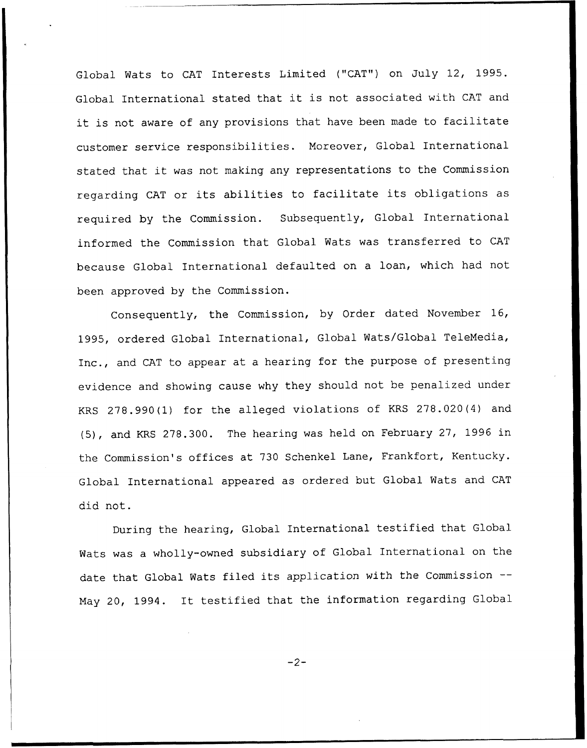Global Wats to CAT Interests Limited ("CAT") on July 12, 1995. Global International stated that it is not associated with CAT and it is not aware of any provisions that have been made to facilitate customer service responsibilities. Moreover, Global International stated that it was not making any representations to the Commission regarding CAT or its abilities to facilitate its obligations as required by the Commission. Subsequently, Global International informed the Commission that Global Wats was transferred to CAT because Global International defaulted on a loan, which had not been approved by the Commission.

Consequently, the Commission, by Order dated November 16, 1995, ordered Global International, Global Wats/Global TeleMedia, Inc., and CAT to appear at a hearing for the purpose of presenting evidence and showing cause why they should not be penalized under KRS 278.990(1) for the alleged violations of KRS 278.020(4) and (5), and KRS 278.300. The hearing was held on February 27, 1996 in the Commission's offices at 730 Schenkel Lane, Frankfort, Kentucky. Global International appeared as ordered but Global Wats and CAT did not.

During the hearing, Global International testified that Global Wats was a wholly-owned subsidiary of Global International on the date that Global Wats filed its application with the Commission --May 20, 1994. It testified that the information regarding Global

 $-2-$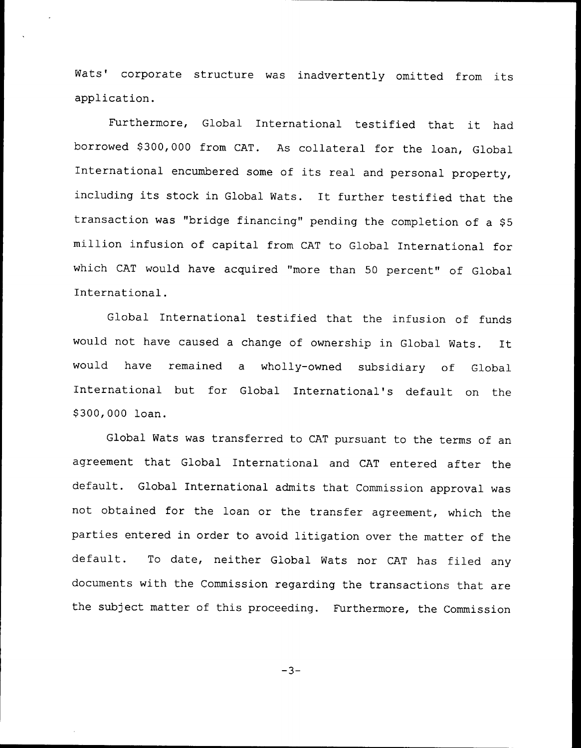Wats' corporate structure was inadvertently omitted from its application.

Furthermore, Global International testified that it had borrowed \$ 300,000 from CAT. As collateral for the loan, Global International encumbered some of its real and personal property, including its stock in Global Wats. It further testified that the transaction was "bridge financing" pending the completion of a \$5 million infusion of capital from CAT to Global International for which CAT would have acquired "more than 50 percent" of Global International.

Global International testified that the infusion of funds would not have caused <sup>a</sup> change of ownership in Global Wats. It would have remained a wholly-owned subsidiary of Global International but for Global International's default on the \$ 300,000 loan.

Global Wats was transferred to CAT pursuant to the terms of an agreement that Global International and CAT entered after the default. Global International admits that Commission approval was not obtained for the loan or the transfer agreement, which the parties entered in order to avoid litigation over the matter of the default. To date, neither Global Wats nor CAT has filed any documents with the Commission regarding the transactions that are the subject matter of this proceeding. Furthermore, the Commission

 $-3-$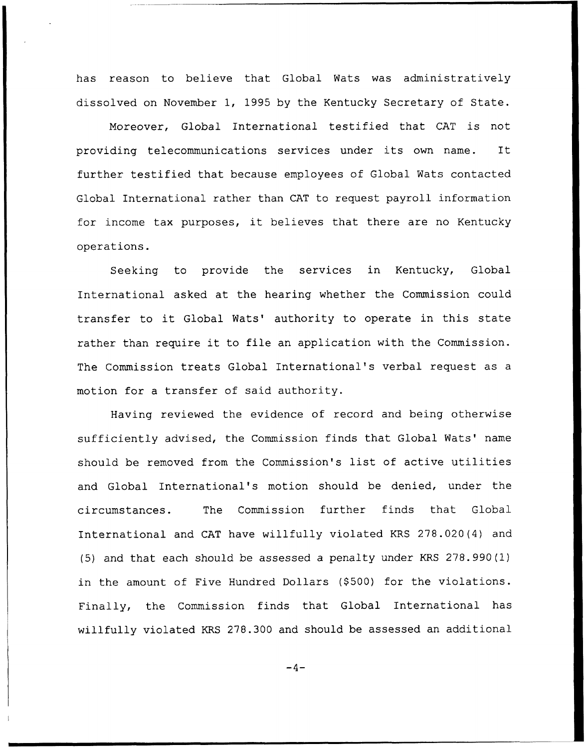has reason to believe that Global Wats was administratively dissolved on November 1, 1995 by the Kentucky Secretary of State.

Moreover, Global International testified that CAT is not providing telecommunications services under its own name. It further testified that because employees of Global Wats contacted Global International rather than CAT to request payroll information for income tax purposes, it believes that there are no Kentucky operations.

Seeking to provide the services in Kentucky, Global International asked at the hearing whether the Commission could transfer to it Global Wats' authority to operate in this state rather than require it to file an application with the Commission. The Commission treats Global International's verbal request as a motion for a transfer of said authority.

Having reviewed the evidence of record and being otherwise sufficiently advised, the Commission finds that Global Wats' name should be removed from the Commission's list of active utilities and Global International's motion should be denied, under the circumstances. The Commission further finds that Global International and CAT have willfully violated KRS 278.020(4) and (5) and that each should be assessed a penalty under KRS 278. 990(1) in the amount of Five Hundred Dollars (\$500) for the violations. Finally, the Commission finds that Global International has willfully violated KRS 278.300 and should be assessed an additional

 $-4-$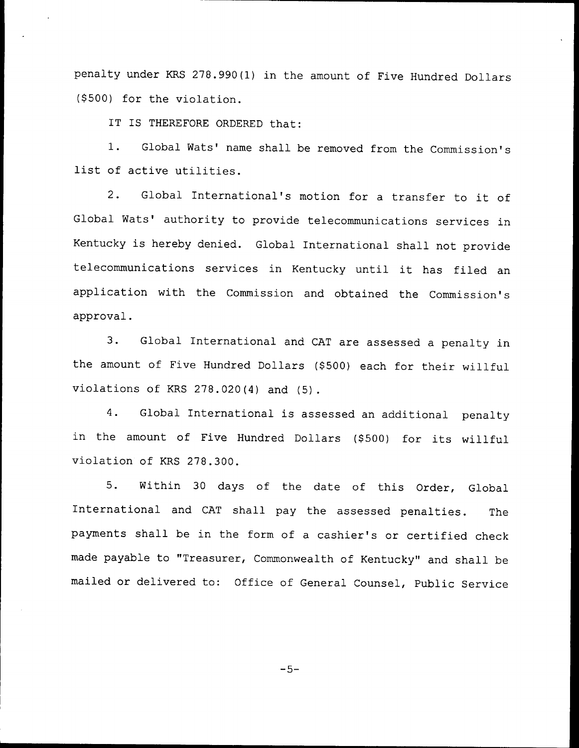penalty under KRS 278.990(1) in the amount of Five Hundred Dollars (\$ 500) for the violation.

IT IS THEREFORE ORDERED that:

1. Global Wats' name shall be removed from the Commission's list of active utilities.

2. Global International's motion for <sup>a</sup> transfer to it of Global Wats' authority to provide telecommunications services in Kentucky is hereby denied. Global International shall not provide telecommunications services in Kentucky until it has filed an application with the Commission and obtained the Commission's approval.

3. Global International and CAT are assessed <sup>a</sup> penalty in the amount of Five Hundred Dollars (\$500) each for their willful violations of KRS 278.020(4) and (5).

4. Global International is assessed an additional penalty in the amount of Five Hundred Dollars (\$500) for its willful violation of KRS 278.300.

5. Within <sup>30</sup> days of the date of this Order, Global International and CAT shall pay the assessed penalties. The payments shall be in the form of <sup>a</sup> cashier's or certified check made payable to "Treasurer, Commonwealth of Kentucky" and shall be mailed or delivered to: Office of General Counsel, Public Service

 $-5-$